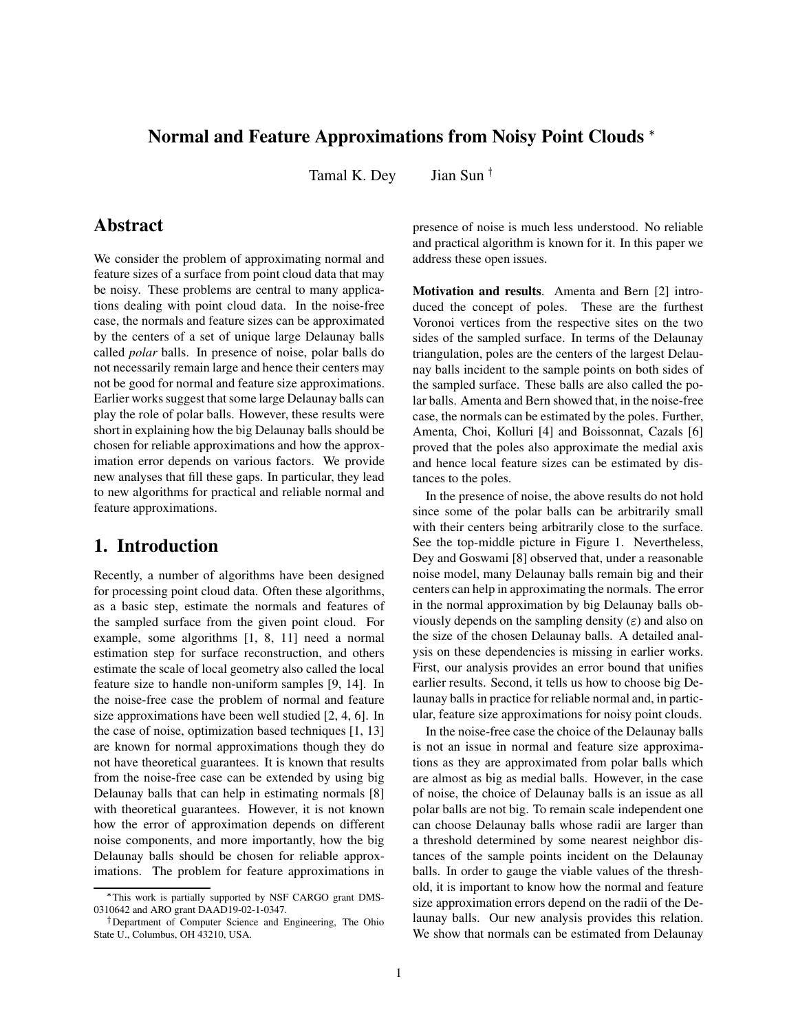## **Normal and Feature Approximations from Noisy Point Clouds**

Tamal K. Dey Jian Sun<sup> $\dagger$ </sup>

# **Abstract**

We consider the problem of approximating normal and feature sizes of a surface from point cloud data that may be noisy. These problems are central to many applications dealing with point cloud data. In the noise-free case, the normals and feature sizes can be approximated by the centers of a set of unique large Delaunay balls called *polar* balls. In presence of noise, polar balls do not necessarily remain large and hence their centers may not be good for normal and feature size approximations. Earlier works suggest that some large Delaunay balls can play the role of polar balls. However, these results were short in explaining how the big Delaunay balls should be chosen for reliable approximations and how the approximation error depends on various factors. We provide new analyses that fill these gaps. In particular, they lead to new algorithms for practical and reliable normal and feature approximations.

# **1. Introduction**

Recently, a number of algorithms have been designed for processing point cloud data. Often these algorithms, as a basic step, estimate the normals and features of the sampled surface from the given point cloud. For example, some algorithms [1, 8, 11] need a normal estimation step for surface reconstruction, and others estimate the scale of local geometry also called the local feature size to handle non-uniform samples [9, 14]. In the noise-free case the problem of normal and feature size approximations have been well studied [2, 4, 6]. In the case of noise, optimization based techniques [1, 13] are known for normal approximations though they do not have theoretical guarantees. It is known that results from the noise-free case can be extended by using big Delaunay balls that can help in estimating normals [8] with theoretical guarantees. However, it is not known how the error of approximation depends on different noise components, and more importantly, how the big Delaunay balls should be chosen for reliable approximations. The problem for feature approximations in

presence of noise is much less understood. No reliable and practical algorithm is known for it. In this paper we address these open issues.

**Motivation and results**. Amenta and Bern [2] introduced the concept of poles. These are the furthest Voronoi vertices from the respective sites on the two sides of the sampled surface. In terms of the Delaunay triangulation, poles are the centers of the largest Delaunay balls incident to the sample points on both sides of the sampled surface. These balls are also called the polar balls. Amenta and Bern showed that, in the noise-free case, the normals can be estimated by the poles. Further, Amenta, Choi, Kolluri [4] and Boissonnat, Cazals [6] proved that the poles also approximate the medial axis and hence local feature sizes can be estimated by distances to the poles.

In the presence of noise, the above results do not hold since some of the polar balls can be arbitrarily small with their centers being arbitrarily close to the surface. See the top-middle picture in Figure 1. Nevertheless, Dey and Goswami [8] observed that, under a reasonable noise model, many Delaunay balls remain big and their centers can help in approximating the normals. The error in the normal approximation by big Delaunay balls obviously depends on the sampling density  $(\varepsilon)$  and also on the size of the chosen Delaunay balls. A detailed analysis on these dependencies is missing in earlier works. First, our analysis provides an error bound that unifies earlier results. Second, it tells us how to choose big Delaunay balls in practice for reliable normal and, in particular, feature size approximations for noisy point clouds.

In the noise-free case the choice of the Delaunay balls is not an issue in normal and feature size approximations as they are approximated from polar balls which are almost as big as medial balls. However, in the case of noise, the choice of Delaunay balls is an issue as all polar balls are not big. To remain scale independent one can choose Delaunay balls whose radii are larger than a threshold determined by some nearest neighbor distances of the sample points incident on the Delaunay balls. In order to gauge the viable values of the threshold, it is important to know how the normal and feature size approximation errors depend on the radii of the Delaunay balls. Our new analysis provides this relation. We show that normals can be estimated from Delaunay

<sup>-</sup> This work is partially supported by NSF CARGO grant DMS-0310642 and ARO grant DAAD19-02-1-0347.

Department of Computer Science and Engineering, The Ohio State U., Columbus, OH 43210, USA.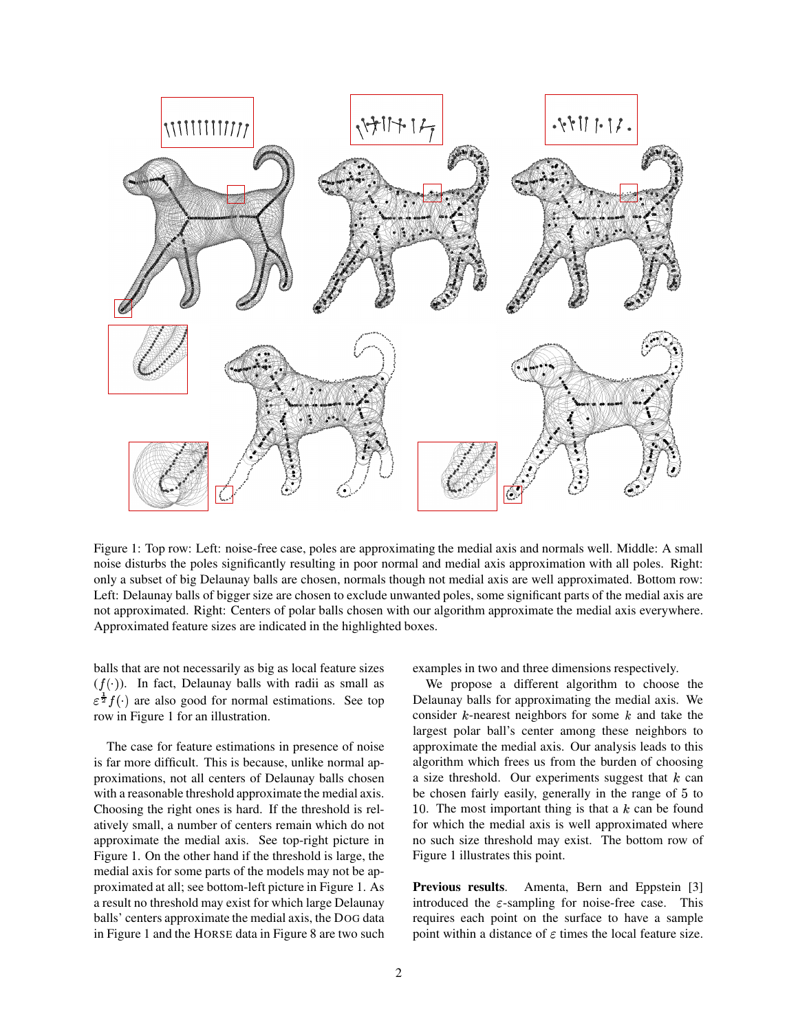

Figure 1: Top row: Left: noise-free case, poles are approximating the medial axis and normals well. Middle: A small noise disturbs the poles significantly resulting in poor normal and medial axis approximation with all poles. Right: only a subset of big Delaunay balls are chosen, normals though not medial axis are well approximated. Bottom row: Left: Delaunay balls of bigger size are chosen to exclude unwanted poles, some significant parts of the medial axis are not approximated. Right: Centers of polar balls chosen with our algorithm approximate the medial axis everywhere. Approximated feature sizes are indicated in the highlighted boxes.

balls that are not necessarily as big as local feature sizes  $(f(\cdot))$ . In fact, Delaunay balls with radii as small as  $\varepsilon^{\frac{1}{2}}f(\cdot)$  are also good for normal estimations. See top row in Figure 1 for an illustration.

The case for feature estimations in presence of noise is far more difficult. This is because, unlike normal approximations, not all centers of Delaunay balls chosen with a reasonable threshold approximate the medial axis. Choosing the right ones is hard. If the threshold is relatively small, a number of centers remain which do not approximate the medial axis. See top-right picture in Figure 1. On the other hand if the threshold is large, the medial axis for some parts of the models may not be approximated at all; see bottom-left picture in Figure 1. As a result no threshold may exist for which large Delaunay balls' centers approximate the medial axis, the DOG data in Figure 1 and the HORSE data in Figure 8 are two such examples in two and three dimensions respectively.

We propose a different algorithm to choose the Delaunay balls for approximating the medial axis. We consider  $k$ -nearest neighbors for some  $k$  and take the largest polar ball's center among these neighbors to approximate the medial axis. Our analysis leads to this algorithm which frees us from the burden of choosing a size threshold. Our experiments suggest that  $k$  can be chosen fairly easily, generally in the range of 5 to 10. The most important thing is that a  $k$  can be found for which the medial axis is well approximated where no such size threshold may exist. The bottom row of Figure 1 illustrates this point.

**Previous results.** Amenta, Bern and Eppstein [3] introduced the  $\varepsilon$ -sampling for noise-free case. This requires each point on the surface to have a sample point within a distance of  $\varepsilon$  times the local feature size.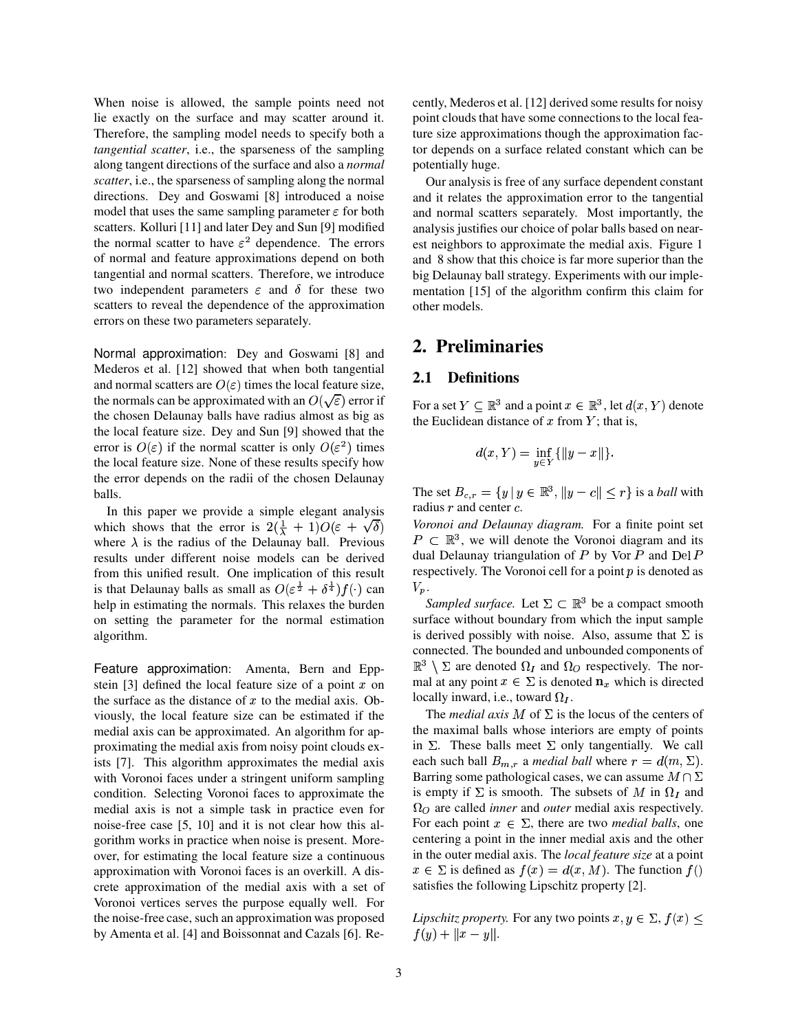When noise is allowed, the sample points need not lie exactly on the surface and may scatter around it. Therefore, the sampling model needs to specify both a *tangential scatter*, i.e., the sparseness of the sampling along tangent directions of the surface and also a *normal scatter*, i.e., the sparseness of sampling along the normal directions. Dey and Goswami [8] introduced a noise model that uses the same sampling parameter  $\varepsilon$  for both scatters. Kolluri [11] and later Dey and Sun [9] modified the normal scatter to have  $\varepsilon^2$  dependence. The errors of normal and feature approximations depend on both tangential and normal scatters. Therefore, we introduce two independent parameters  $\varepsilon$  and  $\delta$  for these two scatters to reveal the dependence of the approximation errors on these two parameters separately.

Normal approximation: Dey and Goswami [8] and Mederos et al. [12] showed that when both tangential and normal scatters are  $O(\varepsilon)$  times the local feature size, the normals can be approximated with an  $O(\sqrt{\varepsilon})$  error if the chosen Delaunay balls have radius almost as big as the local feature size. Dey and Sun [9] showed that the error is  $O(\varepsilon)$  if the normal scatter is only  $O(\varepsilon^2)$  times the local feature size. None of these results specify how the error depends on the radii of the chosen Delaunay balls.

In this paper we provide a simple elegant analysis which shows that the error is  $2(\frac{1}{\lambda} + 1)O(\varepsilon + \sqrt{\delta})$  Vord where  $\lambda$  is the radius of the Delaunay ball. Previous results under different noise models can be derived from this unified result. One implication of this result is that Delaunay balls as small as  $O(\varepsilon^{\frac{1}{2}} + \delta^{\frac{1}{4}})f(\cdot)$  can help in estimating the normals. This relaxes the burden on setting the parameter for the normal estimation algorithm.

Feature approximation: Amenta, Bern and Eppstein [3] defined the local feature size of a point  $x$  on the surface as the distance of  $x$  to the medial axis. Obviously, the local feature size can be estimated if the medial axis can be approximated. An algorithm for approximating the medial axis from noisy point clouds exists [7]. This algorithm approximates the medial axis with Voronoi faces under a stringent uniform sampling condition. Selecting Voronoi faces to approximate the medial axis is not a simple task in practice even for noise-free case [5, 10] and it is not clear how this algorithm works in practice when noise is present. Moreover, for estimating the local feature size a continuous approximation with Voronoi faces is an overkill. A discrete approximation of the medial axis with a set of Voronoi vertices serves the purpose equally well. For the noise-free case, such an approximation was proposed by Amenta et al. [4] and Boissonnat and Cazals [6]. Recently, Mederos et al. [12] derived some results for noisy point clouds that have some connections to the local feature size approximations though the approximation factor depends on a surface related constant which can be potentially huge.

Our analysis is free of any surface dependent constant and it relates the approximation error to the tangential and normal scatters separately. Most importantly, the analysis justifies our choice of polar balls based on nearest neighbors to approximate the medial axis. Figure 1 and 8 show that this choice is far more superior than the big Delaunay ball strategy. Experiments with our implementation [15] of the algorithm confirm this claim for other models.

# **2. Preliminaries**

#### **2.1 Definitions**

For a set  $Y \subseteq \mathbb{R}^3$  and a point  $x \in \mathbb{R}^3$ , let  $d(x, Y)$  denote the Euclidean distance of  $x$  from  $Y$ ; that is,

$$
d(x,Y) = \inf_{y \in Y} \{ ||y - x|| \}.
$$

The set  $B_{c,r} = \{y \mid y \in \mathbb{R}^3, \|y - c\| \leq r\}$  is a *ball* with radius  $r$  and center  $c$ .

] Y *Voronoi and Delaunay diagram.* For a finite point set  $P \subset \mathbb{R}^3$ , we will denote the Voronoi diagram and its dual Delaunay triangulation of  $P$  by  $\text{Vor } P$  and  $\text{Del } P$ respectively. The Voronoi cell for a point  $p$  is denoted as  $V_p$ .

*Sampled surface.* Let  $\Sigma \subset \mathbb{R}^3$  be a compact smooth surface without boundary from which the input sample is derived possibly with noise. Also, assume that  $\Sigma$  is connected. The bounded and unbounded components of  $\mathbb{R}^3$   $\setminus$   $\Sigma$  are denoted  $\Omega_I$  and  $\Omega_O$  respectively. The normal at any point  $x \in \Sigma$  is denoted  $\mathbf{n}_x$  which is directed locally inward, i.e., toward  $\Omega_I$ .

The *medial axis* M of  $\Sigma$  is the locus of the centers of the maximal balls whose interiors are empty of points in  $\Sigma$ . These balls meet  $\Sigma$  only tangentially. We call each such ball  $B_{m,r}$  a *medial ball* where  $r = d(m, \Sigma)$ . Barring some pathological cases, we can assume  $M \cap \Sigma$ is empty if  $\Sigma$  is smooth. The subsets of M in  $\Omega_I$  and  $\Omega_{\Omega}$  are called *inner* and *outer* medial axis respectively. For each point  $x \in \Sigma$ , there are two *medial balls*, one centering a point in the inner medial axis and the other in the outer medial axis. The *local feature size* at a point  $x \in \Sigma$  is defined as  $f(x) = d(x, M)$ . The function  $f(x)$ satisfies the following Lipschitz property [2].

*Lipschitz property.* For any two points  $x, y \in \Sigma$ ,  $f(x)$  $f(y) + ||x - y||.$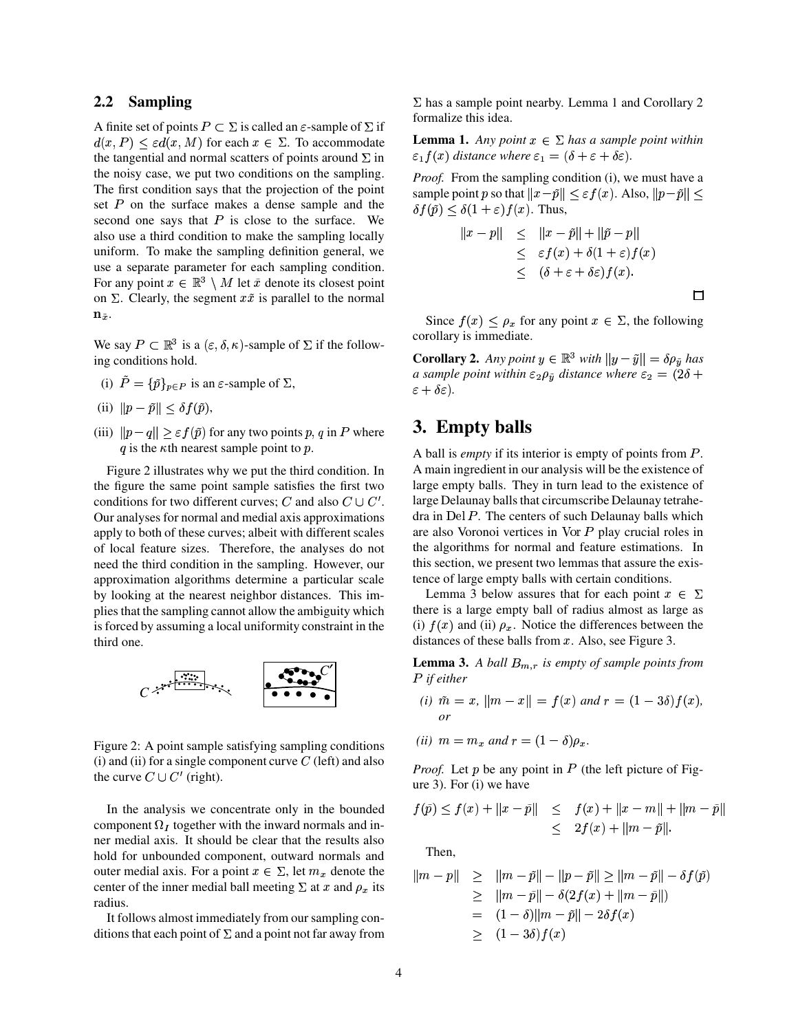#### **2.2 Sampling**

A finite set of points  $P \subset \Sigma$  is called an  $\varepsilon$ -sample of  $\Sigma$  if  $d(x, P) \le \varepsilon d(x, M)$  for each  $x \in \Sigma$ . To accommodate the tangential and normal scatters of points around  $\Sigma$  in the noisy case, we put two conditions on the sampling. The first condition says that the projection of the point set  $P$  on the surface makes a dense sample and the second one says that  $P$  is close to the surface. We also use a third condition to make the sampling locally uniform. To make the sampling definition general, we use a separate parameter for each sampling condition. For any point  $x \in \mathbb{R}^3 \setminus M$  let  $\tilde{x}$  denote its closest point on  $\Sigma$ . Clearly, the segment  $x\tilde{x}$  is parallel to the normal  $n_{\tilde{x}}$ .

We say  $P \subset \mathbb{R}^3$  is a  $(\varepsilon, \delta, \kappa)$ -sample of  $\Sigma$  if the following conditions hold.

- (i)  $P = {\tilde{p}}_{p \in P}$  is an  $\varepsilon$ -sample of  $\Sigma$ ,
- (ii)  $||p \tilde{p}|| \leq \delta f(\tilde{p}),$
- (iii)  $||p-q|| \ge \varepsilon f(\tilde{p})$  for any two points  $p, q$  in P where  $\qquad \bullet$ . q is the  $\kappa$ th nearest sample point to p.

Figure 2 illustrates why we put the third condition. In the figure the same point sample satisfies the first two conditions for two different curves; C and also  $C \cup C'$ . Our analyses for normal and medial axis approximations apply to both of these curves; albeit with different scales of local feature sizes. Therefore, the analyses do not need the third condition in the sampling. However, our approximation algorithms determine a particular scale by looking at the nearest neighbor distances. This implies that the sampling cannot allow the ambiguity which is forced by assuming a local uniformity constraint in the third one.



Figure 2: A point sample satisfying sampling conditions (i) and (ii) for a single component curve  $C$  (left) and also the curve  $C \cup C'$  (right).

In the analysis we concentrate only in the bounded component  $\Omega_I$  together with the inward normals and inner medial axis. It should be clear that the results also hold for unbounded component, outward normals and outer medial axis. For a point  $x \in \Sigma$ , let  $m_x$  denote the center of the inner medial ball meeting  $\Sigma$  at x and  $\rho_x$  its radius.

It follows almost immediately from our sampling conditions that each point of  $\Sigma$  and a point not far away from  $\Sigma$  has a sample point nearby. Lemma 1 and Corollary 2 formalize this idea.

**Lemma 1.** *Any point*  $x \in \Sigma$  *has a sample point within*  $\varepsilon_1 f(x)$  distance where  $\varepsilon_1 = (\delta + \varepsilon + \delta \varepsilon)$ .

*Proof.* From the sampling condition (i), we must have a sample point  $p$  so that  $||x - \tilde{p}|| \le \varepsilon f(x)$ . Also,  $||p - \tilde{p}|| \le$  $\delta f(\tilde{p}) \leq \delta(1+\varepsilon) f(x)$ . Thus,

$$
||x - p|| \le ||x - \tilde{p}|| + ||\tilde{p} - p||
$$
  
\n
$$
\le \varepsilon f(x) + \delta(1 + \varepsilon)f(x)
$$
  
\n
$$
\le (\delta + \varepsilon + \delta \varepsilon)f(x).
$$

 $\Box$ 

Since  $f(x) \leq \rho_x$  for any point  $x \in \Sigma$ , the following corollary is immediate.

**Corollary 2.** *Any point*  $y \in \mathbb{R}^3$  *with*  $||y - \tilde{y}|| = \delta \rho_{\tilde{y}}$  *has a* sample point within  $\varepsilon_2 \rho_{\tilde{y}}$  distance where  $\varepsilon_2 = (2\delta +$  $\varepsilon + \delta \varepsilon$ ). *.*

## **3. Empty balls**

A ball is *empty* if its interior is empty of points from P. A main ingredient in our analysis will be the existence of large empty balls. They in turn lead to the existence of large Delaunay balls that circumscribe Delaunay tetrahedra in Del  $P$ . The centers of such Delaunay balls which are also Voronoi vertices in Vor  $P$  play crucial roles in the algorithms for normal and feature estimations. In this section, we present two lemmas that assure the existence of large empty balls with certain conditions.

Lemma 3 below assures that for each point  $x \in \Sigma$ there is a large empty ball of radius almost as large as (i)  $f(x)$  and (ii)  $\rho_x$ . Notice the differences between the distances of these balls from  $x$ . Also, see Figure 3.

**Lemma 3.** *A ball*  $B_{m,r}$  *is empty of sample points from* \_ *if either*

- *(i)*  $\tilde{m} = x$ ,  $\|m x\| = f(x)$  and  $r = (1 3\delta)f(x)$ , *or*
- *(ii)*  $m = m_x$  *and*  $r = (1 \delta)\rho_x$ .

*Proof.* Let  $p$  be any point in  $P$  (the left picture of Figure 3). For (i) we have

$$
f(\tilde{p}) \le f(x) + ||x - \tilde{p}|| \le f(x) + ||x - m|| + ||m - \tilde{p}||
$$
  

$$
\le 2f(x) + ||m - \tilde{p}||.
$$

Then,

$$
||m-p|| \ge ||m-\tilde{p}|| - ||p-\tilde{p}|| \ge ||m-\tilde{p}|| - \delta f(\tilde{p})
$$
  
\n
$$
\ge ||m-\tilde{p}|| - \delta(2f(x) + ||m-\tilde{p}||)
$$
  
\n
$$
= (1-\delta)||m-\tilde{p}|| - 2\delta f(x)
$$
  
\n
$$
\ge (1-3\delta)f(x)
$$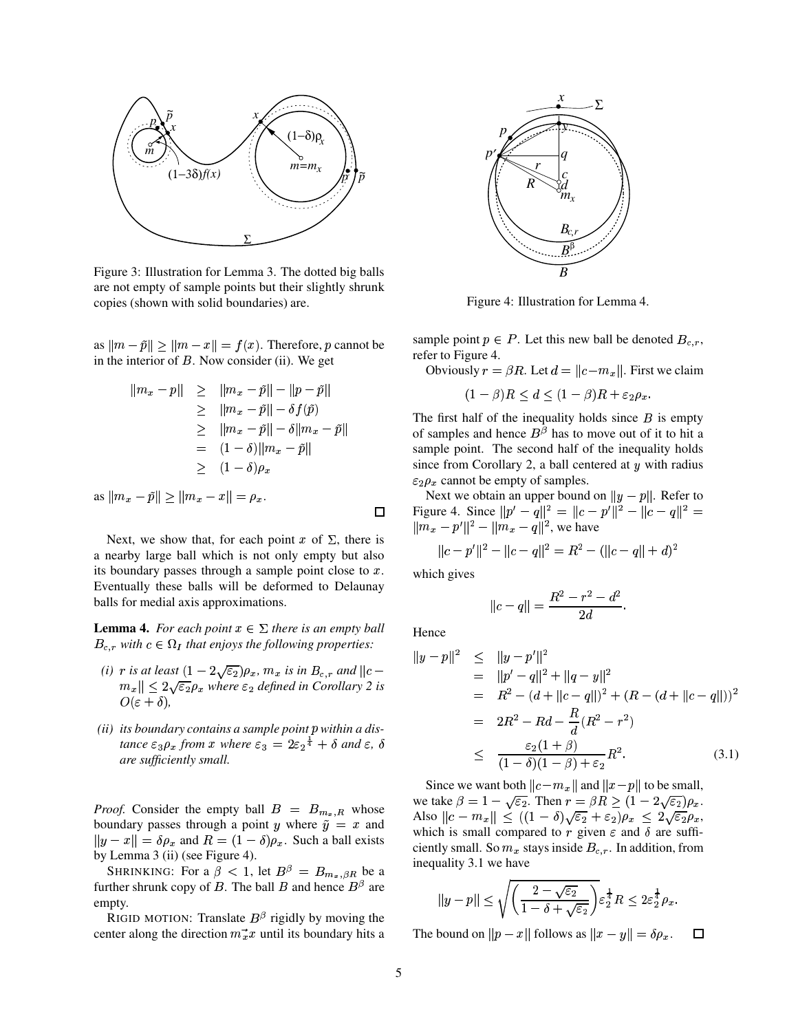

Figure 3: Illustration for Lemma 3. The dotted big balls are not empty of sample points but their slightly shrunk copies (shown with solid boundaries) are.

as  $||m - \tilde{p}|| \ge ||m - x|| = f(x)$ . Therefore, p cannot be in the interior of  $B$ . Now consider (ii). We get

$$
||m_x - p|| \ge ||m_x - \tilde{p}|| - ||p - \tilde{p}||
$$
  
\n
$$
\ge ||m_x - \tilde{p}|| - \delta f(\tilde{p})
$$
  
\n
$$
\ge ||m_x - \tilde{p}|| - \delta||m_x - \tilde{p}||
$$
  
\n
$$
= (1 - \delta)||m_x - \tilde{p}||
$$
  
\n
$$
\ge (1 - \delta)\rho_x
$$
  
\nas  $||m_x - \tilde{p}|| \ge ||m_x - x|| = \rho_x$ .

Next, we show that, for each point x of  $\Sigma$ , there is a nearby large ball which is not only empty but also its boundary passes through a sample point close to  $x$ . Eventually these balls will be deformed to Delaunay balls for medial axis approximations.

**Lemma 4.** For each point  $x \in \Sigma$  there is an empty ball  $B_{c,r}$  with  $c \in \Omega_I$  that enjoys the following properties:

- (*i*)  $r$  *is at least*  $(1-2\sqrt{\varepsilon_2})\rho_x$ ,  $m_x$  *is in*  $B_{c,r}$  *and*  $\|c\|$ In the second contract of the second contract of the second contract of the second contract of the second contract of the second contract of the second contract of the second contract of the second contract of the second c  $\|m_x\| \leq 2\sqrt{\varepsilon_2}\rho_x$  where  $\varepsilon_2$  defined in Corollary 2 is  $O(\varepsilon + \delta),$
- *(ii) its boundary contains a sample point p within a distance*  $\varepsilon_3 \rho_x$  *from*  $x$  *where*  $\varepsilon_3 = 2\varepsilon_2^{\frac{1}{4}} + \delta$  *and*  $\varepsilon$ ,  $\delta$ *are sufficiently small.*

*Proof.* Consider the empty ball  $B = B_{m_x,R}$  whose boundary passes through a point y where  $\tilde{y} = x$  and  $||y - x|| = \delta \rho_x$  and  $R = (1 - \delta) \rho_x$ . Such a ball exists by Lemma 3 (ii) (see Figure 4).

SHRINKING: For a  $\beta < 1$ , let  $B^{\beta} = B_{m_x, \beta R}$  be a further shrunk copy of B. The ball B and hence  $B^{\beta}$  are empty.

RIGID MOTION: Translate  $B^{\beta}$  rigidly by moving the center along the direction  $m_x^2 x$  until its boundary hits a



Figure 4: Illustration for Lemma 4.

sample point  $p \in P$ . Let this new ball be denoted  $B_{c,r}$ , refer to Figure 4.

Obviously  $r = \beta R$ . Let  $d = ||c - m_x||$ . First we claim

 $(1 - \beta)R \leq d \leq (1 - \beta)R + \varepsilon_2 \rho_x.$  $\mathbf{r} \cdot \mathbf{r}$ 

The first half of the inequality holds since  $B$  is empty of samples and hence  $B^{\beta}$  has to move out of it to hit a sample point. The second half of the inequality holds since from Corollary 2, a ball centered at  $y$  with radius  $\varepsilon_2 \rho_x$  cannot be empty of samples.

Next we obtain an upper bound on  $||y - p||$ . Refer to Figure 4. Since  $||p' - q||^2 = ||c - p'||^2 - ||c - q||^2 = ||m_x - p'||^2 - ||m_x - q||^2$ , we have

$$
||c - p'||^2 - ||c - q||^2 = R^2 - (||c - q|| + d)^2
$$

which gives

$$
||c - q|| = \frac{R^2 - r^2 - d^2}{2d}.
$$

Hence

 $\Box$ 

$$
\|y - p\|^2 \le \|y - p'\|^2
$$
  
=  $||p' - q||^2 + ||q - y||^2$   
=  $R^2 - (d + ||c - q||)^2 + (R - (d + ||c - q||))^2$   
=  $2R^2 - Rd - \frac{R}{d}(R^2 - r^2)$   
 $\le \frac{\varepsilon_2(1 + \beta)}{(1 - \delta)(1 - \beta) + \varepsilon_2}R^2.$  (3.1)

Since we want both  $||c - m_x||$  and  $||x - p||$  to be small, we take  $\beta = 1 - \sqrt{\varepsilon_2}$ . Then  $r = \beta R \ge (1 - 2\sqrt{\varepsilon_2})\rho_x$ . Also  $||c - m_x|| \leq ((1 - \delta)\sqrt{\varepsilon_2} + \varepsilon_2)\rho_x \leq 2\sqrt{\varepsilon_2}\rho_x$ , which is small compared to r given  $\varepsilon$  and  $\delta$  are sufficiently small. So  $m_x$  stays inside  $B_{c,r}$ . In addition, from inequality 3.1 we have

$$
||y-p|| \leq \sqrt{\left(\frac{2-\sqrt{\varepsilon_2}}{1-\delta+\sqrt{\varepsilon_2}}\right)} \varepsilon_2^{\frac{1}{4}} R \leq 2\varepsilon_2^{\frac{1}{4}} \rho_x.
$$

The bound on  $||p - x||$  follows as  $||x - y|| = \delta \rho_x$ .  $\Box$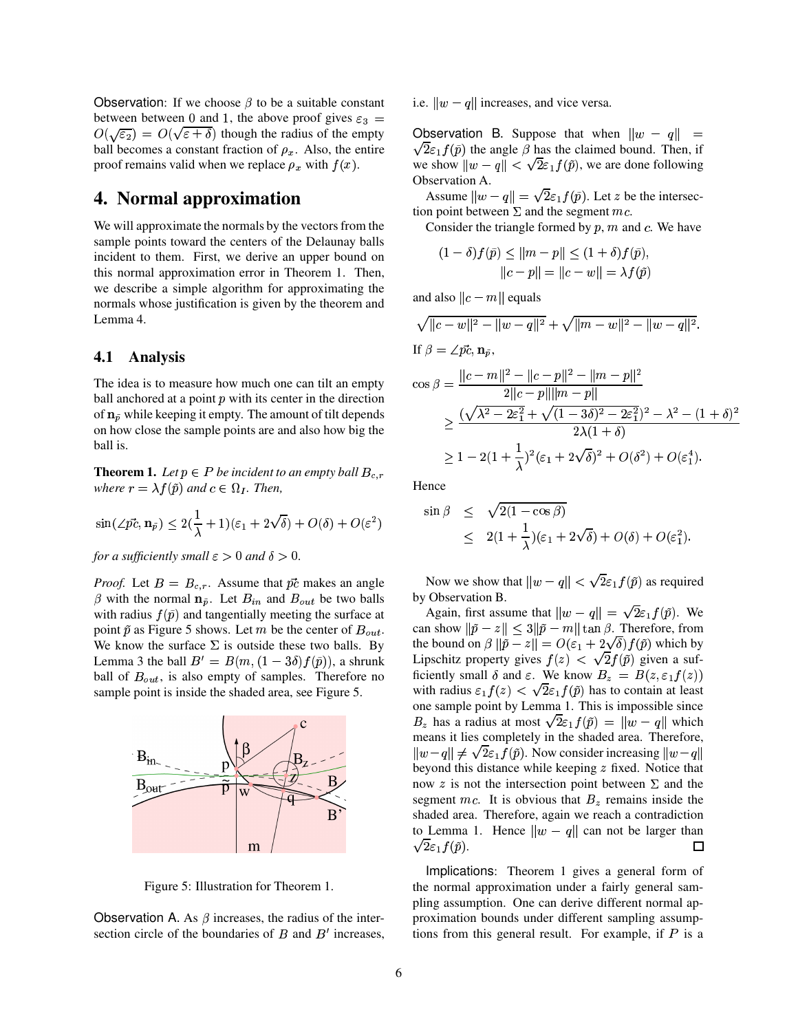Observation: If we choose  $\beta$  to be a suitable constant between between 0 and 1, the above proof gives  $\varepsilon_3$  =  $O(\sqrt{\varepsilon_2}) = O(\sqrt{\varepsilon} + \delta)$  though the radius of the empty ball becomes a constant fraction of  $\rho_x$ . Also, the entire proof remains valid when we replace  $\rho_x$  with  $f(x)$ .

## **4. Normal approximation**

We will approximate the normals by the vectors from the sample points toward the centers of the Delaunay balls incident to them. First, we derive an upper bound on this normal approximation error in Theorem 1. Then, we describe a simple algorithm for approximating the normals whose justification is given by the theorem and Lemma 4.

#### **4.1 Analysis**

The idea is to measure how much one can tilt an empty ball anchored at a point  $p$  with its center in the direction of  $n_{\tilde{p}}$  while keeping it empty. The amount of tilt depends on how close the sample points are and also how big the ball is.

**Theorem 1.** Let  $p \in P$  be incident to an empty ball  $B_{c,r}$ *where*  $r = \lambda f(\tilde{p})$  and  $c \in \Omega_I$ . Then,

$$
\sin(\angle p\vec{c}, \mathbf{n}_{\tilde{p}}) \leq 2(\frac{1}{\lambda} + 1)(\varepsilon_1 + 2\sqrt{\delta}) + O(\delta) + O(\varepsilon^2)
$$

*for a sufficiently small*  $\varepsilon > 0$  *and*  $\delta > 0$ .

*Proof.* Let  $B = B_{c,r}$ . Assume that  $\vec{pc}$  makes an angle  $\beta$  with the normal  $\mathbf{n}_{\tilde{p}}$ . Let  $B_{in}$  and  $B_{out}$  be two balls with radius  $f(\tilde{p})$  and tangentially meeting the surface at point  $\tilde{p}$  as Figure 5 shows. Let m be the center of  $B_{out}$ . We know the surface  $\Sigma$  is outside these two balls. By Lemma 3 the ball  $B'=B(m,(1-3\delta)f(\tilde{p}))$ , a shrunk ball of  $B_{out}$ , is also empty of samples. Therefore no sample point is inside the shaded area, see Figure 5.



Figure 5: Illustration for Theorem 1.

Observation A. As  $\beta$  increases, the radius of the intersection circle of the boundaries of  $B$  and  $B'$  increases, i.e.  $\|w - q\|$  increases, and vice versa.

2 observation B. Suppose that when  $\|w - q\|$  =  $\sqrt{2\varepsilon_1 f(\tilde{p})}$  the angle  $\beta$  has the claimed bound. Then, if we show  $||w - q|| < \sqrt{2\varepsilon_1 f(\tilde{p})}$ , we are done following Observation A.

> Assume  $||w - q|| = \sqrt{2\varepsilon_1 f(\tilde{p})}$ . Let z be the intersection point between  $\Sigma$  and the segment mc.

Consider the triangle formed by  $p$ ,  $m$  and  $c$ . We have

$$
(1 - \delta) f(\tilde{p}) \le ||m - p|| \le (1 + \delta) f(\tilde{p}),
$$
  
 
$$
||c - p|| = ||c - w|| = \lambda f(\tilde{p})
$$

and also  $||c - m||$  equals

$$
\sqrt{\|c - w\|^2 - \|w - q\|^2} + \sqrt{\|m - w\|^2 - \|w - q\|^2}.
$$
  
If  $\beta = \angle p\vec{c}$ ,  $\mathbf{n}_{\tilde{p}}$ ,  

$$
\cos \beta = \frac{\|c - m\|^2 - \|c - p\|^2 - \|m - p\|^2}{2\|c - p\| \|m - p\|}
$$

$$
\geq \frac{(\sqrt{\lambda^2 - 2\varepsilon_1^2} + \sqrt{(1 - 3\delta)^2 - 2\varepsilon_1^2})^2 - \lambda^2 - (1 + \delta)^2}{2\lambda(1 + \delta)}
$$

$$
\geq 1 - 2(1 + \frac{1}{\lambda})^2(\varepsilon_1 + 2\sqrt{\delta})^2 + O(\delta^2) + O(\varepsilon_1^4).
$$

Hence

$$
\sin \beta \leq \sqrt{2(1 - \cos \beta)}
$$
  
 
$$
\leq 2(1 + \frac{1}{\lambda})(\varepsilon_1 + 2\sqrt{\delta}) + O(\delta) + O(\varepsilon_1^2).
$$

Now we show that  $\|w - q\| < \sqrt{2\varepsilon_1 f(\tilde{p})}$  as required by Observation B.

Again, first assume that  $||w - q|| = \sqrt{2\varepsilon_1 f(\tilde{p})}$ . We can show  $\|\tilde{p} - z\| \leq 3 \|\tilde{p} - m\| \tan \beta$ . Therefore, from the bound on  $\beta \|\tilde{p} - z\| = O(\varepsilon_1 + 2\sqrt{\delta}) f(\tilde{p})$  which by Lipschitz property gives  $f(z) < \sqrt{2f(\tilde{p})}$  given a sufficiently small  $\delta$  and  $\varepsilon$ . We know  $B_z = B(z, \varepsilon_1 f(z))$ with radius  $\varepsilon_1 f(z) < \sqrt{2} \varepsilon_1 f(\tilde{p})$  has to contain at least one sample point by Lemma 1. This is impossible since  $B_z$  has a radius at most  $\sqrt{2\varepsilon_1 f(\tilde{p})} = ||w - q||$  which means it lies completely in the shaded area. Therefore,  $||w-q|| \neq \sqrt{2\varepsilon_1 f(\tilde{p})}$ . Now consider increasing beyond this distance while keeping  $z$  fixed. Notice that now z is not the intersection point between  $\Sigma$  and the segment mc. It is obvious that  $B_z$  remains inside the shaded area. Therefore, again we reach a contradiction to Lemma 1. Hence  $||w - q||$  can not be larger than  $\sqrt{2\varepsilon_1 f(\tilde{p})}.$  $\Box$ 

Implications: Theorem 1 gives a general form of the normal approximation under a fairly general sampling assumption. One can derive different normal approximation bounds under different sampling assumptions from this general result. For example, if  $P$  is a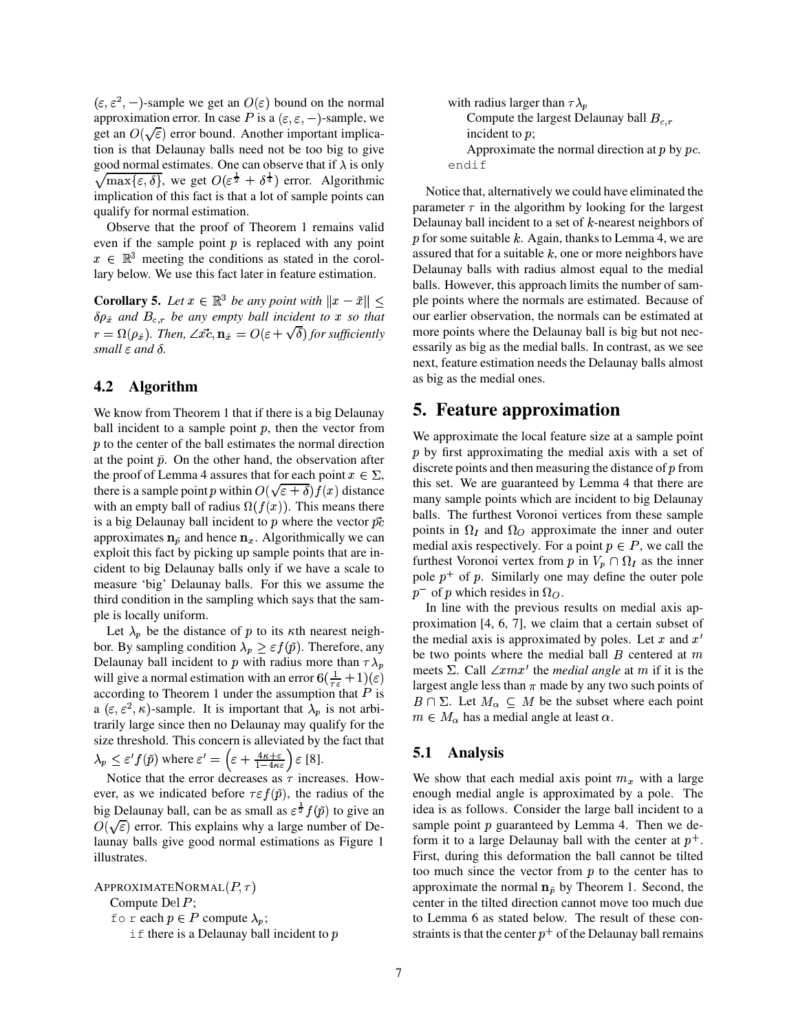$(\varepsilon, \varepsilon^2, -)$ -sample we get an  $O(\varepsilon)$  bound on the normal approximation error. In case P is a  $(\varepsilon, \varepsilon, -)$ -sample, we get an  $O(\sqrt{\varepsilon})$  error bound. Another important implication is that Delaunay balls need not be too big to give good normal estimates. One can observe that if  $\lambda$  is only ÏÙ  $ax{\varepsilon, \delta}$ , we get  $O(\varepsilon^{\frac{1}{2}} + \delta^{\frac{1}{4}})$  error. Algorithmic implication of this fact is that a lot of sample points can qualify for normal estimation.

Observe that the proof of Theorem 1 remains valid even if the sample point  $p$  is replaced with any point  $x \in \mathbb{R}^3$  meeting the conditions as stated in the corollary below. We use this fact later in feature estimation.

**Corollary 5.** Let  $x \in \mathbb{R}^3$  be any point with  $||x - \tilde{x}|| \leq \text{pl}$  $\delta \rho_{\tilde{x}}$  and  $B_{c,r}$  be any empty ball incident to x so that  $r = \Omega(\rho_{\tilde{x}})$ . Then,  $\angle \vec{xc}, \mathbf{n}_{\tilde{x}} = O(\varepsilon + \sqrt{\delta})$  for sufficiently *small*  $\varepsilon$  *and*  $\delta$ .

#### **4.2 Algorithm**

We know from Theorem 1 that if there is a big Delaunay ball incident to a sample point  $p$ , then the vector from  $p$  to the center of the ball estimates the normal direction at the point  $\tilde{p}$ . On the other hand, the observation after the proof of Lemma 4 assures that for each point  $x \in \Sigma$ , there is a sample point p within  $O(\sqrt{\varepsilon} + \delta) f(x)$  distance with an empty ball of radius  $\Omega(f(x))$ . This means there is a big Delaunay ball incident to p where the vector  $\vec{pc}$ approximates  $n_{\tilde{p}}$  and hence  $n_x$ . Algorithmically we can exploit this fact by picking up sample points that are incident to big Delaunay balls only if we have a scale to measure 'big' Delaunay balls. For this we assume the third condition in the sampling which says that the sample is locally uniform.

Let  $\lambda_p$  be the distance of p to its  $\kappa$ th nearest neighbor. By sampling condition  $\lambda_p \geq \varepsilon f(\tilde{p})$ . Therefore, any Delaunay ball incident to p with radius more than  $\tau \lambda_p$ will give a normal estimation with an error  $6(\frac{1}{\tau_{\epsilon}}+1)(\epsilon)$ according to Theorem 1 under the assumption that P is  $R \cap \overline{R} \cap \overline{S}$ a  $(\epsilon, \epsilon^2, \kappa)$ -sample. It is important that  $\lambda_p$  is not arbitrarily large since then no Delaunay may qualify for the size threshold. This concern is alleviated by the fact that  $\lambda_p \leq \varepsilon' f(\tilde{p})$  where  $\varepsilon' = \left(\varepsilon + \frac{4\kappa + \varepsilon}{1 - 4\kappa \varepsilon}\right) \varepsilon$  [8].

Notice that the error decreases as  $\tau$  increases. However, as we indicated before  $\tau \in f(\tilde{p})$ , the radius of the big Delaunay ball, can be as small as  $\epsilon^{\frac{1}{2}} f(\tilde{p})$  to give an  $O(\sqrt{\varepsilon})$  error. This explains why a large number of Delaunay balls give good normal estimations as Figure 1 illustrates.

APPROXIMATENORMAL $(P,\tau)$ Compute Del  $P$ ; for each  $p \in P$  compute  $\lambda_p$ ; if there is a Delaunay ball incident to  $p$ 

with radius larger than 
$$
\tau \lambda_p
$$
  
\nCompute the largest Delaunay ball  $B_{c,r}$   
\nincident to *p*;  
\nApproximate the normal direction at *p* by *pc*.  
\nendif

that our earlier observation, the normals can be estimated at Notice that, alternatively we could have eliminated the parameter  $\tau$  in the algorithm by looking for the largest Delaunay ball incident to a set of  $k$ -nearest neighbors of  $p$  for some suitable  $k$ . Again, thanks to Lemma 4, we are assured that for a suitable  $k$ , one or more neighbors have Delaunay balls with radius almost equal to the medial balls. However, this approach limits the number of sample points where the normals are estimated. Because of more points where the Delaunay ball is big but not necessarily as big as the medial balls. In contrast, as we see next, feature estimation needs the Delaunay balls almost as big as the medial ones.

## **5. Feature approximation**

points in  $\Omega_I$  and  $\Omega_O$  approximate the inner and outer We approximate the local feature size at a sample point  $p$  by first approximating the medial axis with a set of discrete points and then measuring the distance of  $p$  from this set. We are guaranteed by Lemma 4 that there are many sample points which are incident to big Delaunay balls. The furthest Voronoi vertices from these sample medial axis respectively. For a point  $p \in P$ , we call the furthest Voronoi vertex from p in  $V_p \cap \Omega_I$  as the inner pole  $p^+$  of p. Similarly one may define the outer pole  $p^-$  of p which resides in  $\Omega_O$ .

largest angle less than  $\pi$  made by any two such points of In line with the previous results on medial axis approximation [4, 6, 7], we claim that a certain subset of the medial axis is approximated by poles. Let  $x$  and  $x'$ be two points where the medial ball  $B$  centered at  $m$ meets  $\Sigma$ . Call  $\angle xmx'$  the *medial angle* at m if it is the  $B \cap \Sigma$ . Let  $M_{\alpha} \subseteq M$  be the subset where each point  $m \in M_\alpha$  has a medial angle at least  $\alpha$ .

### **5.1 Analysis**

We show that each medial axis point  $m_x$  with a large enough medial angle is approximated by a pole. The idea is as follows. Consider the large ball incident to a sample point  $p$  guaranteed by Lemma 4. Then we deform it to a large Delaunay ball with the center at  $p^+$ . First, during this deformation the ball cannot be tilted too much since the vector from  $p$  to the center has to approximate the normal  $n_{\tilde{p}}$  by Theorem 1. Second, the center in the tilted direction cannot move too much due to Lemma 6 as stated below. The result of these constraints is that the center  $p<sup>+</sup>$  of the Delaunay ball remains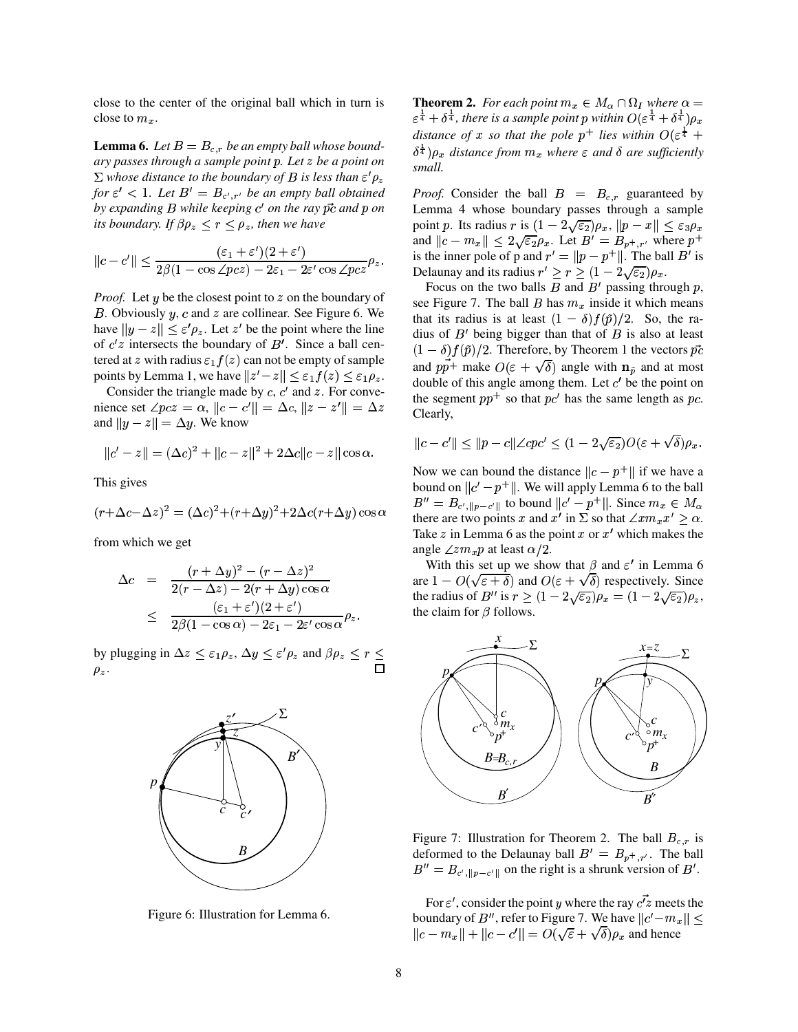close to the center of the original ball which in turn is close to  $m_r$ .

**Lemma 6.** Let  $B = B_{c,r}$  be an empty ball whose boundary passes through a sample point p. Let z be a point on  $\Sigma$  whose distance to the boundary of B is less than  $\varepsilon' \rho_z$ for  $\varepsilon'$  < 1. Let  $B' = B_{c',r'}$  be an empty ball obtained by expanding  $B$  while keeping  $c'$  on the ray  $\vec{pc}$  and  $p$  on its boundary. If  $\beta \rho_z < r < \rho_z$ , then we have

$$
||c - c'|| \le \frac{(\varepsilon_1 + \varepsilon')(2 + \varepsilon')}{2\beta(1 - \cos \angle pcz) - 2\varepsilon_1 - 2\varepsilon' \cos \angle pcz} \rho_z.
$$

*Proof.* Let y be the closest point to z on the boundary of B. Obviously  $y$ ,  $c$  and  $z$  are collinear. See Figure 6. We have  $||y - z|| \le \varepsilon' \rho_z$ . Let z' be the point where the line of  $c'z$  intersects the boundary of  $B'$ . Since a ball centered at z with radius  $\varepsilon_1 f(z)$  can not be empty of sample points by Lemma 1, we have  $||z'-z|| \leq \varepsilon_1 f(z) \leq \varepsilon_1 \rho_z$ .

Consider the triangle made by  $c, c'$  and  $z$ . For convenience set  $\angle pcz = \alpha$ ,  $||c - c'|| = \Delta c$ ,  $||z - z'|| = \Delta z$ and  $||y - z|| = \Delta y$ . We know

$$
||c'-z|| = (\Delta c)^2 + ||c - z||^2 + 2\Delta c||c - z||\cos\alpha.
$$

This gives

$$
(r + \Delta c - \Delta z)^2 = (\Delta c)^2 + (r + \Delta y)^2 + 2\Delta c(r + \Delta y)\cos\alpha
$$

from which we get

$$
\Delta c = \frac{(r + \Delta y)^2 - (r - \Delta z)^2}{2(r - \Delta z) - 2(r + \Delta y)\cos\alpha}
$$
  
 
$$
\leq \frac{(\varepsilon_1 + \varepsilon')(2 + \varepsilon')}{2\beta(1 - \cos\alpha) - 2\varepsilon_1 - 2\varepsilon'\cos\alpha}\rho_z.
$$

by plugging in  $\Delta z \leq \varepsilon_1 \rho_z$ ,  $\Delta y \leq \varepsilon' \rho_z$  and  $\beta \rho_z \leq r \leq$  $\rho_z$ .



Figure 6: Illustration for Lemma 6.

**Theorem 2.** For each point  $m_x \in M_\alpha \cap \Omega_I$  where  $\alpha =$  $\varepsilon^{\frac{1}{4}} + \delta^{\frac{1}{4}}$ , there is a sample point p within  $O(\varepsilon^{\frac{1}{4}} + \delta^{\frac{1}{4}})\rho_x$ distance of x so that the pole  $p^+$  lies within  $O(\varepsilon^{\frac{1}{4}} +$  $\delta^{\frac{1}{4}}$ ) $\rho_x$  distance from  $m_x$  where  $\varepsilon$  and  $\delta$  are sufficiently small.

*Proof.* Consider the ball  $B = B_{c,r}$  guaranteed by Lemma 4 whose boundary passes through a sample point p. Its radius r is  $(1 - 2\sqrt{\varepsilon_2})\rho_x$ ,  $||p - x|| \leq \varepsilon_3 \rho_x$ and  $||c - m_x|| \leq 2\sqrt{\varepsilon_2} \rho_x$ . Let  $B' = B_{p^+, r'}$  where  $p^+$ is the inner pole of p and  $r' = ||p - p^+||$ . The ball B' is Delaunay and its radius  $r' \ge r \ge (1 - 2\sqrt{\epsilon_2})\rho_x$ .

Focus on the two balls  $B$  and  $B'$  passing through  $p$ , see Figure 7. The ball B has  $m_x$  inside it which means that its radius is at least  $(1 - \delta) f(\tilde{p})/2$ . So, the radius of  $B'$  being bigger than that of  $B$  is also at least  $(1 - \delta) f(\tilde{p})/2$ . Therefore, by Theorem 1 the vectors  $\vec{pc}$ and  $p\vec{p}$ <sup>+</sup> make  $O(\varepsilon + \sqrt{\delta})$  angle with  $n_{\tilde{v}}$  and at most double of this angle among them. Let  $c'$  be the point on the segment  $pp^+$  so that  $pc'$  has the same length as pc. Clearly,

$$
||c - c'|| \le ||p - c|| \angle cpc' \le (1 - 2\sqrt{\varepsilon_2})O(\varepsilon + \sqrt{\delta})\rho_x.
$$

Now we can bound the distance  $||c - p^+||$  if we have a bound on  $||c'-p^+||$ . We will apply Lemma 6 to the ball  $B'' = B_{c',\|p-c'\|}$  to bound  $||c'-p^+||$ . Since  $m_x \in M_\alpha$ there are two points x and x' in  $\Sigma$  so that  $\angle x m_x x' > \alpha$ . Take z in Lemma 6 as the point x or  $x'$  which makes the angle  $\angle z m_x p$  at least  $\alpha/2$ .

With this set up we show that  $\beta$  and  $\varepsilon'$  in Lemma 6 are  $1 - O(\sqrt{\varepsilon + \delta})$  and  $O(\varepsilon + \sqrt{\delta})$  respectively. Since the radius of B'' is  $r \ge (1 - 2\sqrt{\varepsilon_2})\rho_x = (1 - 2\sqrt{\varepsilon_2})\rho_z$ , the claim for  $\beta$  follows.



Figure 7: Illustration for Theorem 2. The ball  $B_{c,r}$  is deformed to the Delaunay ball  $B' = B_{p^+, r'}$ . The ball  $B'' = B_{c',\|p-c'\|}$  on the right is a shrunk version of  $B'$ .

For  $\varepsilon'$ , consider the point y where the ray  $c\vec{z}$  meets the boundary of B'', refer to Figure 7. We have  $||c'-m_x|| \le$  $||c - m_x|| + ||c - c'|| = O(\sqrt{\varepsilon} + \sqrt{\delta})\rho_x$  and hence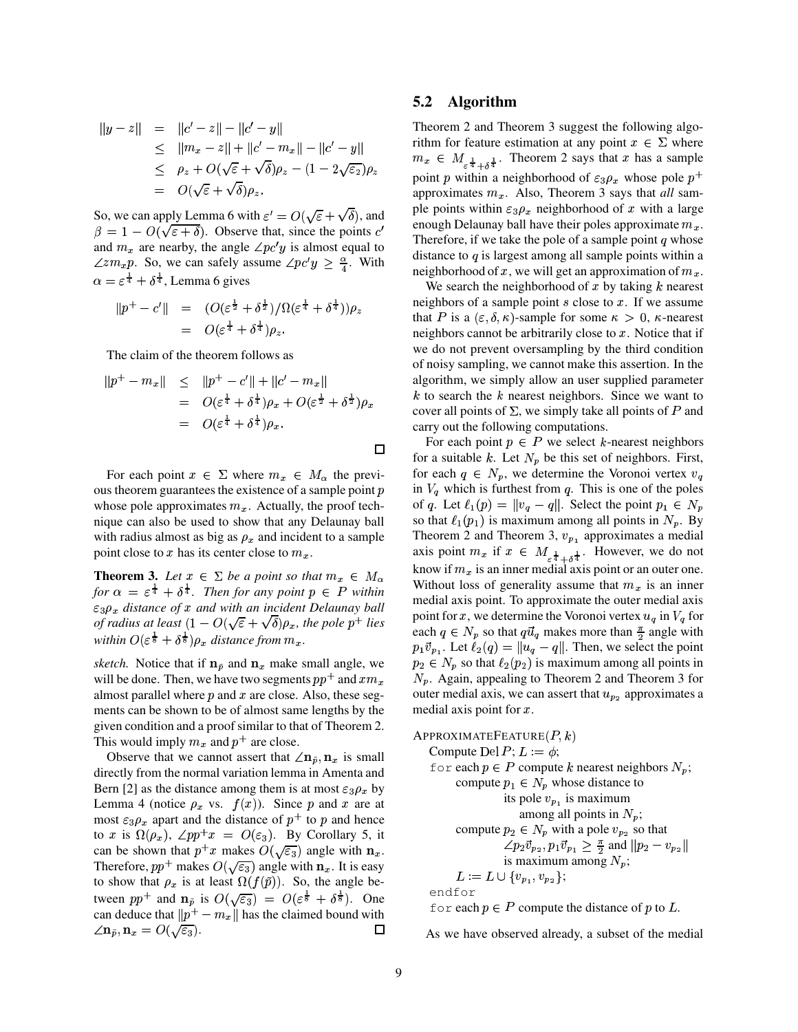$$
||y-z|| = ||c'-z|| - ||c'-y||
$$
  
\n
$$
\leq ||m_x-z|| + ||c'-m_x|| - ||c'-y||
$$
  
\n
$$
\leq \rho_z + O(\sqrt{\varepsilon} + \sqrt{\delta})\rho_z - (1 - 2\sqrt{\varepsilon_2})\rho_z
$$
  
\n
$$
= O(\sqrt{\varepsilon} + \sqrt{\delta})\rho_z.
$$

So, we can apply Lemma 6 with  $\varepsilon' = O(\sqrt{\varepsilon} + \sqrt{\delta})$ , and  $\beta = 1 - O(\sqrt{\varepsilon + \delta})$ . Observe that, since the points c' and  $m_x$  are nearby, the angle  $\angle pc'y$  is almost equal to  $\angle z m_x p$ . So, we can safely assume  $\angle p c' y \geq \frac{\alpha}{4}$ . With  $\alpha = \varepsilon^{\frac{1}{4}} + \delta^{\frac{1}{4}}$ , Lemma 6 gives

$$
||p^+ - c'|| = (O(\varepsilon^{\frac{1}{2}} + \delta^{\frac{1}{2}})/\Omega(\varepsilon^{\frac{1}{4}} + \delta^{\frac{1}{4}}))\rho_z
$$
  
=  $O(\varepsilon^{\frac{1}{4}} + \delta^{\frac{1}{4}})\rho_z$ .

The claim of the theorem follows as

$$
||p^{+} - m_{x}|| \le ||p^{+} - c'|| + ||c' - m_{x}||
$$
  
=  $O(\varepsilon^{\frac{1}{4}} + \delta^{\frac{1}{4}})\rho_{x} + O(\varepsilon^{\frac{1}{2}} + \delta^{\frac{1}{2}})\rho_{x}$   
=  $O(\varepsilon^{\frac{1}{4}} + \delta^{\frac{1}{4}})\rho_{x}$ .

For each point  $x \in \Sigma$  where  $m_x \in M_\alpha$  the previous theorem guarantees the existence of a sample point  $p$ whose pole approximates  $m_x$ . Actually, the proof technique can also be used to show that any Delaunay ball with radius almost as big as  $\rho_x$  and incident to a sample point close to x has its center close to  $m_x$ .

**Theorem 3.** Let  $x \in \Sigma$  be a point so that  $m_x \in M_\alpha$ for  $\alpha = \varepsilon^{\frac{1}{4}} + \delta^{\frac{1}{4}}$ . Then for any point  $p \in P$  within  $\varepsilon_3 \rho_x$  distance of x and with an incident Delaunay ball of radius at least  $(1 - O(\sqrt{\varepsilon} + \sqrt{\delta})\rho_x$ , the pole p<sup>+</sup> lies within  $O(\varepsilon^{\frac{1}{8}} + \delta^{\frac{1}{8}})\rho_r$  distance from  $m_r$ .

sketch. Notice that if  $n_{\tilde{p}}$  and  $n_x$  make small angle, we will be done. Then, we have two segments  $pp^+$  and  $xm_x$ almost parallel where  $p$  and  $x$  are close. Also, these segments can be shown to be of almost same lengths by the given condition and a proof similar to that of Theorem 2. This would imply  $m_x$  and  $p^+$  are close.

Observe that we cannot assert that  $\angle n_{\tilde{p}}, n_x$  is small directly from the normal variation lemma in Amenta and Bern [2] as the distance among them is at most  $\varepsilon_3 \rho_x$  by Lemma 4 (notice  $\rho_x$  vs.  $f(x)$ ). Since p and x are at most  $\varepsilon_3 \rho_x$  apart and the distance of  $p^+$  to p and hence to x is  $\Omega(\rho_x)$ ,  $\angle pp^+x = O(\varepsilon_3)$ . By Corollary 5, it can be shown that  $p^+x$  makes  $O(\sqrt{\varepsilon_3})$  angle with  $\mathbf{n}_x$ . Therefore,  $pp^+$  makes  $O(\sqrt{\varepsilon_3})$  angle with  $\mathbf{n}_x$ . It is easy to show that  $\rho_x$  is at least  $\Omega(f(\tilde{p}))$ . So, the angle between  $pp^+$  and  $\mathbf{n}_{\tilde{p}}$  is  $O(\sqrt{\varepsilon_3}) = O(\varepsilon^{\frac{1}{8}} + \delta^{\frac{1}{8}})$ . One can deduce that  $||p^+ - m_x||$  has the claimed bound with  $\angle \mathbf{n}_{\tilde{p}}, \mathbf{n}_x = O(\sqrt{\varepsilon_3}).$  $\Box$ 

#### **Algorithm**  $5.2$

Theorem 2 and Theorem 3 suggest the following algorithm for feature estimation at any point  $x \in \Sigma$  where  $m_x \in M_{\epsilon^{\frac{1}{4}} + \delta^{\frac{1}{4}}}$ . Theorem 2 says that x has a sample point p within a neighborhood of  $\varepsilon_3 \rho_x$  whose pole  $p^+$ approximates  $m_x$ . Also, Theorem 3 says that all sample points within  $\varepsilon_3 \rho_x$  neighborhood of x with a large enough Delaunay ball have their poles approximate  $m_x$ . Therefore, if we take the pole of a sample point q whose distance to  $q$  is largest among all sample points within a neighborhood of x, we will get an approximation of  $m<sub>x</sub>$ .

We search the neighborhood of  $x$  by taking  $k$  nearest neighbors of a sample point  $s$  close to  $x$ . If we assume that P is a  $(\varepsilon, \delta, \kappa)$ -sample for some  $\kappa > 0$ ,  $\kappa$ -nearest neighbors cannot be arbitrarily close to  $x$ . Notice that if we do not prevent oversampling by the third condition of noisy sampling, we cannot make this assertion. In the algorithm, we simply allow an user supplied parameter  $k$  to search the  $k$  nearest neighbors. Since we want to cover all points of  $\Sigma$ , we simply take all points of P and carry out the following computations.

For each point  $p \in P$  we select k-nearest neighbors for a suitable k. Let  $N_p$  be this set of neighbors. First, for each  $q \in N_p$ , we determine the Voronoi vertex  $v_q$ in  $V_q$  which is furthest from  $q$ . This is one of the poles of q. Let  $\ell_1(p) = ||v_q - q||$ . Select the point  $p_1 \in N_p$ so that  $\ell_1(p_1)$  is maximum among all points in  $N_p$ . By Theorem 2 and Theorem 3,  $v_{p_1}$  approximates a medial axis point  $m_x$  if  $x \in M_{\frac{1}{\varepsilon^{\frac{1}{4}}} + \delta^{\frac{1}{4}}}$ . However, we do not know if  $m_x$  is an inner medial axis point or an outer one. Without loss of generality assume that  $m_x$  is an inner medial axis point. To approximate the outer medial axis point for x, we determine the Voronoi vertex  $u_q$  in  $V_q$  for each  $q \in N_p$  so that  $q\vec{u}_q$  makes more than  $\frac{\pi}{2}$  angle with  $p_1 \vec{v}_{p_1}$ . Let  $\ell_2(q) = ||u_q - q||$ . Then, we select the point  $p_2 \in N_p$  so that  $\ell_2(p_2)$  is maximum among all points in  $N_p$ . Again, appealing to Theorem 2 and Theorem 3 for outer medial axis, we can assert that  $u_{p_2}$  approximates a medial axis point for  $x$ .

APPROXIMATEFEATURE(
$$
P, k
$$
)  
\nCompute Del  $P$ ;  $L := \phi$ ;  
\nfor each  $p \in P$  compute  $k$  nearest neighbors  $N_p$ ;  
\ncompute  $p_1 \in N_p$  whose distance to  
\nits pole  $v_{p_1}$  is maximum  
\namong all points in  $N_p$ ;  
\ncompute  $p_2 \in N_p$  with a pole  $v_{p_2}$  so that  
\n $\angle p_2 \vec{v}_{p_2}, p_1 \vec{v}_{p_1} \geq \frac{\pi}{2}$  and  $||p_2 - v_{p_2}||$   
\nis maximum among  $N_p$ ;  
\n $L := L \cup \{v_{p_1}, v_{p_2}\}$ ;  
\nendfor  
\nfor each  $p \in P$  compute the distance of  $p$  to  $L$ .

As we have observed already, a subset of the medial